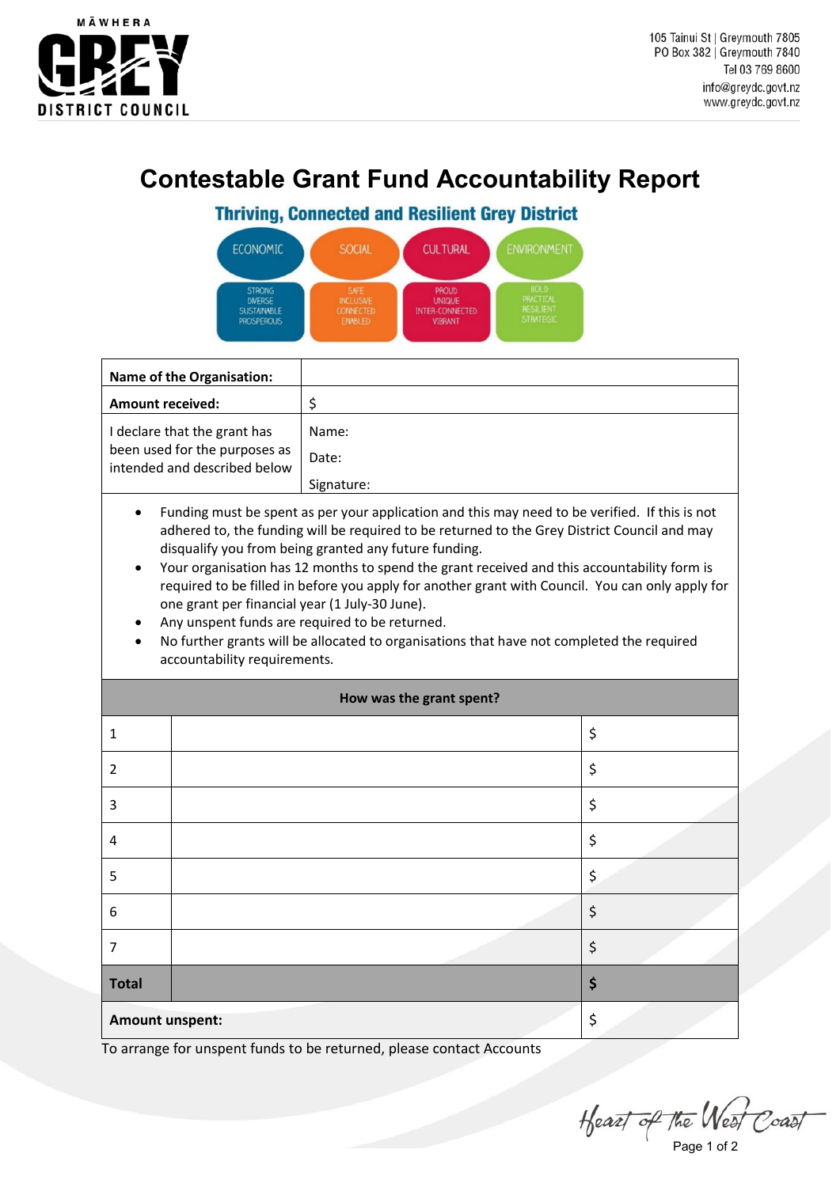

## **Contestable Grant Fund Accountability Report**

## **Thriving, Connected and Resilient Grey District**

| <b>ECONOMIC</b>    | SOCIAL           | <b>CULTURAL</b>        | <b>ENVIRONMENT</b> |
|--------------------|------------------|------------------------|--------------------|
| <b>STRONG</b>      | SAFE             | <b>PROUD</b>           | <b>BOLD</b>        |
| <b>DIVERSE</b>     | <b>INCLUSIVE</b> | <b>UNIQUE</b>          | <b>PRACTICAL</b>   |
| <b>SUSTAINABLE</b> | <b>CONNECTED</b> | <b>INTER-CONNECTED</b> | <b>RESILIENT</b>   |
| <b>PROSPEROUS</b>  | <b>ENABLED</b>   | <b>VIBRANT</b>         | <b>STRATEGIC</b>   |

| Name of the Organisation:                                                                     |                |
|-----------------------------------------------------------------------------------------------|----------------|
| <b>Amount received:</b>                                                                       |                |
| I declare that the grant has<br>been used for the purposes as<br>intended and described below | Name:<br>Date: |
|                                                                                               | Signature:     |

- Funding must be spent as per your application and this may need to be verified. If this is not adhered to, the funding will be required to be returned to the Grey District Council and may disqualify you from being granted any future funding.
- Your organisation has 12 months to spend the grant received and this accountability form is required to be filled in before you apply for another grant with Council. You can only apply for one grant per financial year (1 July-30 June).
- Any unspent funds are required to be returned.
- No further grants will be allocated to organisations that have not completed the required accountability requirements.

| How was the grant spent? |  |    |
|--------------------------|--|----|
| 1                        |  | \$ |
| $\overline{2}$           |  | \$ |
| 3                        |  | \$ |
| 4                        |  | \$ |
| 5                        |  | \$ |
| 6                        |  | \$ |
| 7                        |  | \$ |
| <b>Total</b>             |  | \$ |
| <b>Amount unspent:</b>   |  | \$ |

To arrange for unspent funds to be returned, please contact Accounts

 $H$ eazt of the West Coast